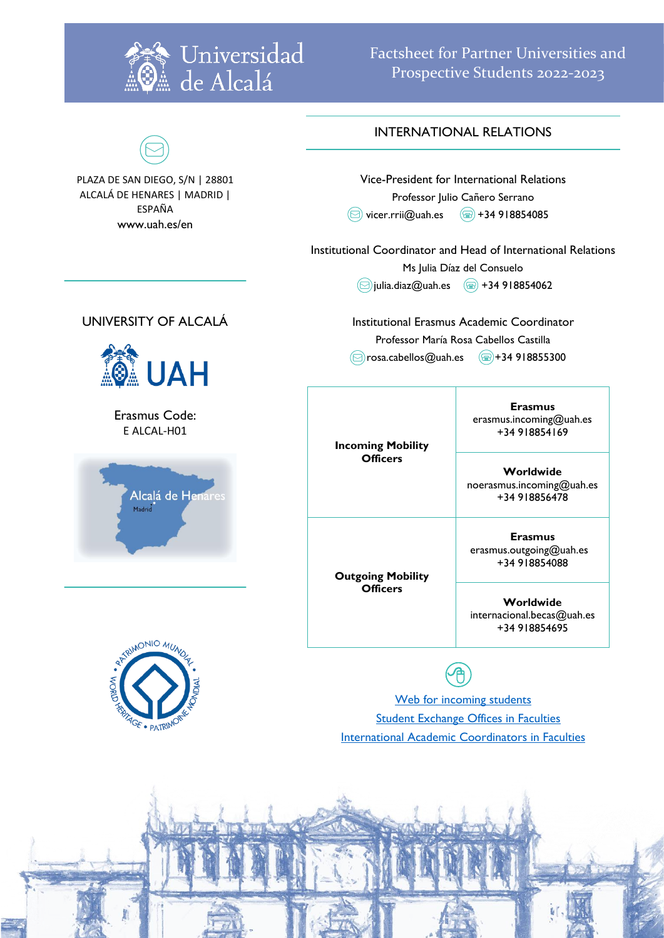

Factsheet for Partner Universities and Prospective Students 2022-2023

### INTERNATIONAL RELATIONS

Vice-President for International Relations Professor Julio Cañero Serrano  $\circledcirc$  vicer.rrii@uah.es  $\circledcirc$  +34 918854085

Institutional Coordinator and Head of International Relations

Ms Julia Díaz del Consuelo

 $\circ$ julia.diaz@uah.es  $\circ$  +34 918854062

**Officers**

**Outgoing Mobility Officers**

Institutional Erasmus Academic Coordinator Professor María Rosa Cabellos Castilla  $\circ$ rosa.cabellos@uah.es  $\circ$ +34 918855300



noerasmus.incoming@uah.es +34 918856478

**Erasmus** erasmus.outgoing@uah.es +34 918854088

**Worldwide** internacional.becas@uah.es +34 918854695



[Web for incoming students](http://www.uah.es/en/internacional/movilidad-entrante-incoming-mobility/) **[Student Exchange Offices in Faculties](https://www.uah.es/export/sites/uah/es/internacional/.galleries/Galeria-de-desgargas-de-Internacional/oficinas-relaciones-internacionales.pdf)** International Academic [Coordinators in Faculties](http://www.uah.es/export/sites/uah/es/internacional/.galleries/Galeria-de-desgargas-de-Internacional/coordinadores-programas-internacionales.pdf)

## UNIVERSITY OF ALCALÁ

PLAZA DE SAN DIEGO, S/N | 28801 ALCALÁ DE HENARES | MADRID | ESPAÑA www.uah.es/en



Erasmus Code: E ALCAL-H01



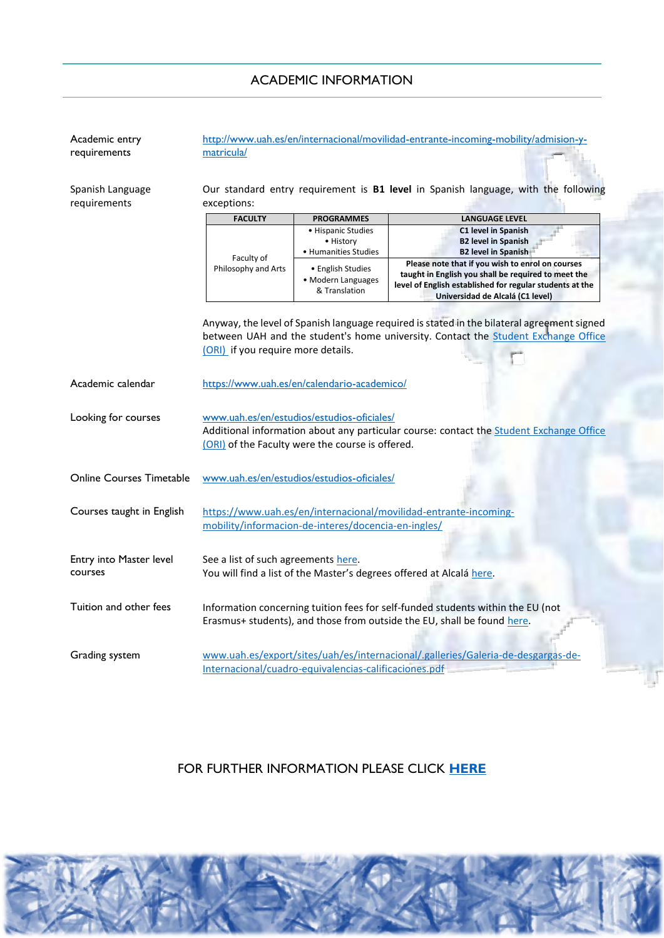| Academic entry<br>requirements     | matricula/                                                                                                                                                                                                             |                                                          | http://www.uah.es/en/internacional/movilidad-entrante-incoming-mobility/admision-y-                                                                                                                     |  |
|------------------------------------|------------------------------------------------------------------------------------------------------------------------------------------------------------------------------------------------------------------------|----------------------------------------------------------|---------------------------------------------------------------------------------------------------------------------------------------------------------------------------------------------------------|--|
| Spanish Language<br>requirements   | exceptions:                                                                                                                                                                                                            |                                                          | Our standard entry requirement is B1 level in Spanish language, with the following                                                                                                                      |  |
|                                    | <b>FACULTY</b>                                                                                                                                                                                                         | <b>PROGRAMMES</b>                                        | <b>LANGUAGE LEVEL</b>                                                                                                                                                                                   |  |
|                                    | Faculty of                                                                                                                                                                                                             | • Hispanic Studies<br>• History<br>• Humanities Studies  | C1 level in Spanish<br><b>B2 level in Spanish</b><br><b>B2 level in Spanish</b>                                                                                                                         |  |
|                                    | Philosophy and Arts                                                                                                                                                                                                    | • English Studies<br>· Modern Languages<br>& Translation | Please note that if you wish to enrol on courses<br>taught in English you shall be required to meet the<br>level of English established for regular students at the<br>Universidad de Alcalá (C1 level) |  |
|                                    | Anyway, the level of Spanish language required is stated in the bilateral agreement signed<br>between UAH and the student's home university. Contact the Student Exchange Office<br>(ORI) if you require more details. |                                                          |                                                                                                                                                                                                         |  |
| Academic calendar                  | https://www.uah.es/en/calendario-academico/                                                                                                                                                                            |                                                          |                                                                                                                                                                                                         |  |
| Looking for courses                | www.uah.es/en/estudios/estudios-oficiales/<br>Additional information about any particular course: contact the Student Exchange Office<br>(ORI) of the Faculty were the course is offered.                              |                                                          |                                                                                                                                                                                                         |  |
| <b>Online Courses Timetable</b>    | www.uah.es/en/estudios/estudios-oficiales/                                                                                                                                                                             |                                                          |                                                                                                                                                                                                         |  |
| Courses taught in English          | https://www.uah.es/en/internacional/movilidad-entrante-incoming-<br>mobility/informacion-de-interes/docencia-en-ingles/                                                                                                |                                                          |                                                                                                                                                                                                         |  |
| Entry into Master level<br>courses | See a list of such agreements here.<br>You will find a list of the Master's degrees offered at Alcalá here.                                                                                                            |                                                          |                                                                                                                                                                                                         |  |
| Tuition and other fees             | Information concerning tuition fees for self-funded students within the EU (not<br>Erasmus+ students), and those from outside the EU, shall be found here.                                                             |                                                          |                                                                                                                                                                                                         |  |
| Grading system                     | www.uah.es/export/sites/uah/es/internacional/.galleries/Galeria-de-desgargas-de-<br>Internacional/cuadro-equivalencias-calificaciones.pdf                                                                              |                                                          |                                                                                                                                                                                                         |  |

### ACADEMIC INFORMATION

# FOR FURTHER INFORMATION PLEASE CLICK **[HERE](http://www.uah.es/export/sites/uah/en/internacional/.galleries/Galeria-de-descargas-de-Internacional/Factsheet-UAH-for-Partners.pdf)**